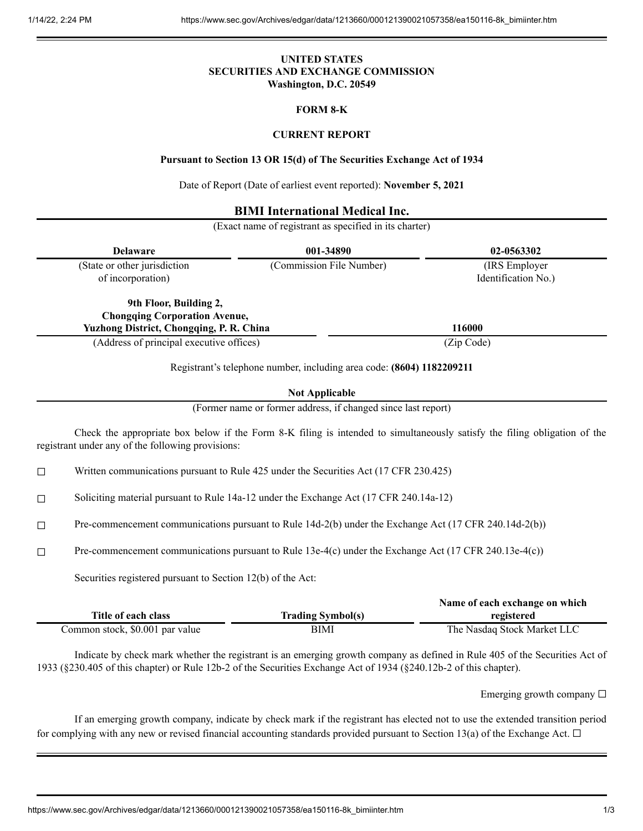## **UNITED STATES SECURITIES AND EXCHANGE COMMISSION Washington, D.C. 20549**

## **FORM 8-K**

## **CURRENT REPORT**

### **Pursuant to Section 13 OR 15(d) of The Securities Exchange Act of 1934**

Date of Report (Date of earliest event reported): **November 5, 2021**

# **BIMI International Medical Inc.**

(Exact name of registrant as specified in its charter)

| <b>Delaware</b>                                 | 001-34890                | 02-0563302          |
|-------------------------------------------------|--------------------------|---------------------|
| (State or other jurisdiction                    | (Commission File Number) | (IRS Employer)      |
| of incorporation)                               |                          | Identification No.) |
| 9th Floor, Building 2,                          |                          |                     |
| <b>Chongqing Corporation Avenue,</b>            |                          |                     |
| <b>Yuzhong District, Chongqing, P. R. China</b> |                          | 116000              |
| (Address of principal executive offices)        |                          | (Zip Code)          |

Registrant's telephone number, including area code: **(8604) 1182209211**

### **Not Applicable**

(Former name or former address, if changed since last report)

Check the appropriate box below if the Form 8-K filing is intended to simultaneously satisfy the filing obligation of the registrant under any of the following provisions:

☐ Written communications pursuant to Rule 425 under the Securities Act (17 CFR 230.425)

☐ Soliciting material pursuant to Rule 14a-12 under the Exchange Act (17 CFR 240.14a-12)

☐ Pre-commencement communications pursuant to Rule 14d-2(b) under the Exchange Act (17 CFR 240.14d-2(b))

☐ Pre-commencement communications pursuant to Rule 13e-4(c) under the Exchange Act (17 CFR 240.13e-4(c))

Securities registered pursuant to Section 12(b) of the Act:

|                                 |                          | Name of each exchange on which |
|---------------------------------|--------------------------|--------------------------------|
| Title of each class             | <b>Trading Symbol(s)</b> | registered                     |
| Common stock, \$0.001 par value | BIMI                     | The Nasdaq Stock Market LLC    |

Indicate by check mark whether the registrant is an emerging growth company as defined in Rule 405 of the Securities Act of 1933 (§230.405 of this chapter) or Rule 12b-2 of the Securities Exchange Act of 1934 (§240.12b-2 of this chapter).

Emerging growth company  $\Box$ 

If an emerging growth company, indicate by check mark if the registrant has elected not to use the extended transition period for complying with any new or revised financial accounting standards provided pursuant to Section 13(a) of the Exchange Act.  $\Box$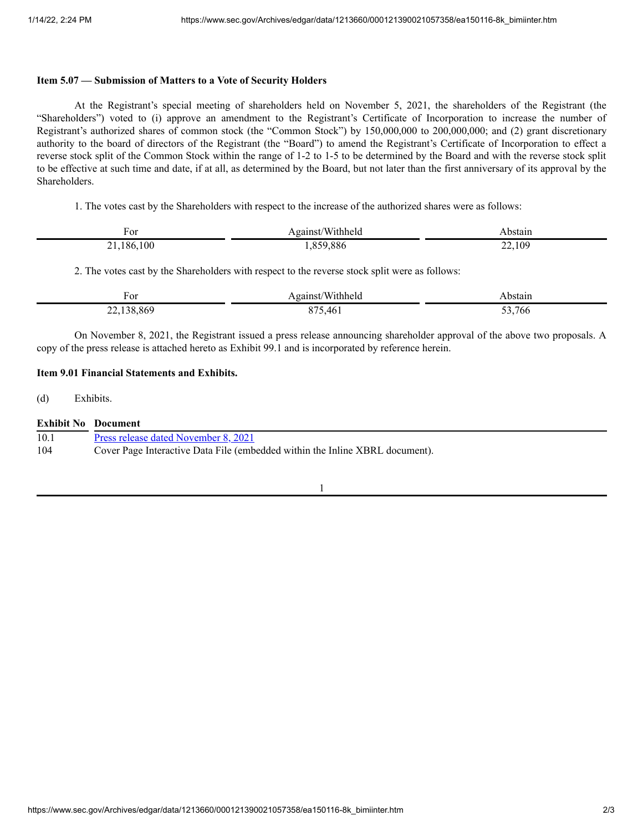## **Item 5.07 — Submission of Matters to a Vote of Security Holders**

At the Registrant's special meeting of shareholders held on November 5, 2021, the shareholders of the Registrant (the "Shareholders") voted to (i) approve an amendment to the Registrant's Certificate of Incorporation to increase the number of Registrant's authorized shares of common stock (the "Common Stock") by 150,000,000 to 200,000,000; and (2) grant discretionary authority to the board of directors of the Registrant (the "Board") to amend the Registrant's Certificate of Incorporation to effect a reverse stock split of the Common Stock within the range of 1-2 to 1-5 to be determined by the Board and with the reverse stock split to be effective at such time and date, if at all, as determined by the Board, but not later than the first anniversary of its approval by the Shareholders.

1. The votes cast by the Shareholders with respect to the increase of the authorized shares were as follows:

| ror        | /Withheld<br>$\cdot$ rainc $\tau$             | ostair |
|------------|-----------------------------------------------|--------|
| 100<br>186 | $\sim$ $\sim$ $\sim$<br>00<br>'.886<br>$\sim$ | ' ng   |

2. The votes cast by the Shareholders with respect to the reverse stock split were as follows:

| ۰or                       | oainst                                                          | bstair            |
|---------------------------|-----------------------------------------------------------------|-------------------|
|                           | /Withheld                                                       |                   |
| .869<br><br>$\sim$ $\sim$ | $\alpha$ $\alpha$ $\beta$<br>⁄ I I –<br>$\cdot$ $\cdot$ $\cdot$ | - ^<br>,766<br>-- |

On November 8, 2021, the Registrant issued a press release announcing shareholder approval of the above two proposals. A copy of the press release is attached hereto as Exhibit 99.1 and is incorporated by reference herein.

#### **Item 9.01 Financial Statements and Exhibits.**

(d) Exhibits.

| <b>Exhibit No</b> Document |                                                                              |
|----------------------------|------------------------------------------------------------------------------|
| 10.1                       | Press release dated November 8, 2021                                         |
| -104                       | Cover Page Interactive Data File (embedded within the Inline XBRL document). |

1